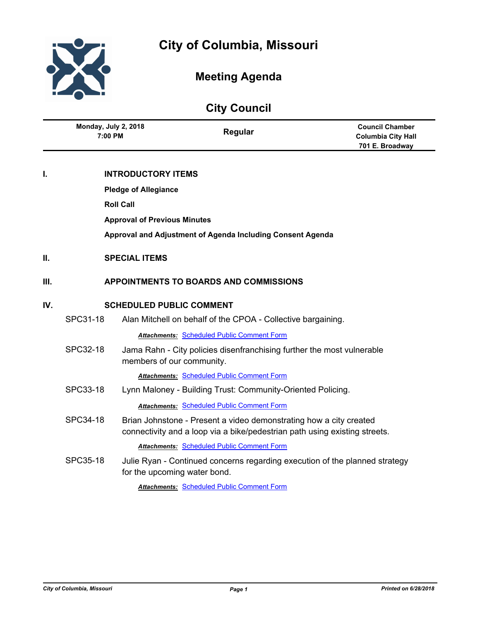

# **City of Columbia, Missouri**

## **Meeting Agenda**

## **City Council**

|     | Monday, July 2, 2018<br>7:00 PM                            |                                     | Regular                                                                                                                                          | <b>Council Chamber</b><br><b>Columbia City Hall</b><br>701 E. Broadway |  |
|-----|------------------------------------------------------------|-------------------------------------|--------------------------------------------------------------------------------------------------------------------------------------------------|------------------------------------------------------------------------|--|
| L   | <b>INTRODUCTORY ITEMS</b>                                  |                                     |                                                                                                                                                  |                                                                        |  |
|     |                                                            | <b>Pledge of Allegiance</b>         |                                                                                                                                                  |                                                                        |  |
|     |                                                            | <b>Roll Call</b>                    |                                                                                                                                                  |                                                                        |  |
|     |                                                            | <b>Approval of Previous Minutes</b> |                                                                                                                                                  |                                                                        |  |
|     | Approval and Adjustment of Agenda Including Consent Agenda |                                     |                                                                                                                                                  |                                                                        |  |
| П.  | <b>SPECIAL ITEMS</b>                                       |                                     |                                                                                                                                                  |                                                                        |  |
| Ш.  |                                                            |                                     | <b>APPOINTMENTS TO BOARDS AND COMMISSIONS</b>                                                                                                    |                                                                        |  |
| IV. | <b>SCHEDULED PUBLIC COMMENT</b>                            |                                     |                                                                                                                                                  |                                                                        |  |
|     | SPC31-18                                                   |                                     | Alan Mitchell on behalf of the CPOA - Collective bargaining.                                                                                     |                                                                        |  |
|     |                                                            |                                     | <b>Attachments: Scheduled Public Comment Form</b>                                                                                                |                                                                        |  |
|     | SPC32-18                                                   | members of our community.           | Jama Rahn - City policies disenfranchising further the most vulnerable                                                                           |                                                                        |  |
|     |                                                            |                                     | <b>Attachments: Scheduled Public Comment Form</b>                                                                                                |                                                                        |  |
|     | SPC33-18                                                   |                                     | Lynn Maloney - Building Trust: Community-Oriented Policing.                                                                                      |                                                                        |  |
|     |                                                            |                                     | <b>Attachments: Scheduled Public Comment Form</b>                                                                                                |                                                                        |  |
|     | SPC34-18                                                   |                                     | Brian Johnstone - Present a video demonstrating how a city created<br>connectivity and a loop via a bike/pedestrian path using existing streets. |                                                                        |  |
|     |                                                            |                                     | <b>Attachments: Scheduled Public Comment Form</b>                                                                                                |                                                                        |  |
|     | SPC35-18                                                   | for the upcoming water bond.        | Julie Ryan - Continued concerns regarding execution of the planned strategy                                                                      |                                                                        |  |
|     |                                                            |                                     | <b>Attachments: Scheduled Public Comment Form</b>                                                                                                |                                                                        |  |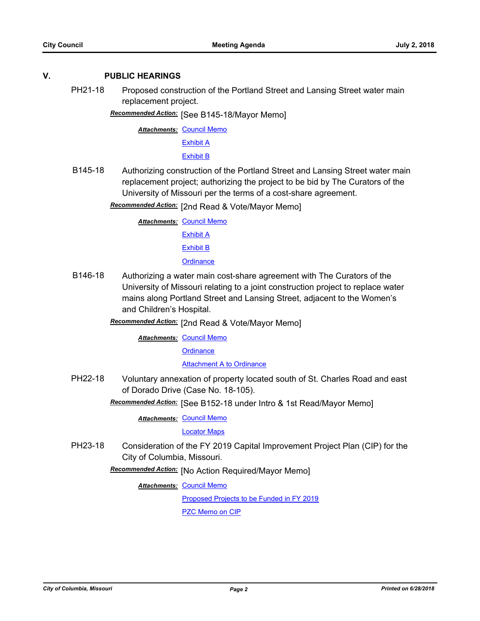## **V. PUBLIC HEARINGS**

PH21-18 Proposed construction of the Portland Street and Lansing Street water main replacement project.

[See B145-18/Mayor Memo] *Recommended Action:*

**Attachments: [Council Memo](http://gocolumbiamo.legistar.com/gateway.aspx?M=F&ID=fd073419-8ccf-4404-94e3-6d548e3f055e.docx)** 

[Exhibit A](http://gocolumbiamo.legistar.com/gateway.aspx?M=F&ID=204f2c6f-5b79-4fde-8bd5-f790a78fa240.pdf)

[Exhibit B](http://gocolumbiamo.legistar.com/gateway.aspx?M=F&ID=4131db17-7e9c-46e6-abca-a44655115f24.pdf)

B145-18 Authorizing construction of the Portland Street and Lansing Street water main replacement project; authorizing the project to be bid by The Curators of the University of Missouri per the terms of a cost-share agreement.

**Recommended Action:** [2nd Read & Vote/Mayor Memo]

**Attachments: [Council Memo](http://gocolumbiamo.legistar.com/gateway.aspx?M=F&ID=c52b1fa7-f1e5-4529-a544-e3639aadb9e0.docx)** [Exhibit A](http://gocolumbiamo.legistar.com/gateway.aspx?M=F&ID=3a9c322d-9ae9-4fb9-8171-049ba617ec21.pdf) [Exhibit B](http://gocolumbiamo.legistar.com/gateway.aspx?M=F&ID=260574ea-cfae-4009-aca1-a2489dfee8b7.pdf) **[Ordinance](http://gocolumbiamo.legistar.com/gateway.aspx?M=F&ID=a6752a4b-020c-4d55-8d4b-b262f417f013.doc)** 

- B146-18 Authorizing a water main cost-share agreement with The Curators of the University of Missouri relating to a joint construction project to replace water mains along Portland Street and Lansing Street, adjacent to the Women's and Children's Hospital.
	- [2nd Read & Vote/Mayor Memo] *Recommended Action:*

**Attachments: [Council Memo](http://gocolumbiamo.legistar.com/gateway.aspx?M=F&ID=8fe3803c-7250-4d49-a2b6-5c9c04ed3be4.docx)** 

**[Ordinance](http://gocolumbiamo.legistar.com/gateway.aspx?M=F&ID=fb301e99-a25a-47d0-83bb-89c99b41a7b8.doc)** 

**[Attachment A to Ordinance](http://gocolumbiamo.legistar.com/gateway.aspx?M=F&ID=5f921d91-4cfe-40ce-a714-00aaeb8b2191.pdf)** 

PH22-18 Voluntary annexation of property located south of St. Charles Road and east of Dorado Drive (Case No. 18-105).

Recommended Action: [See B152-18 under Intro & 1st Read/Mayor Memo]

**Attachments: [Council Memo](http://gocolumbiamo.legistar.com/gateway.aspx?M=F&ID=c98d8204-ad04-4aef-a4ef-9f0e48381fa1.docx)** 

[Locator Maps](http://gocolumbiamo.legistar.com/gateway.aspx?M=F&ID=e55a2b52-e78e-492c-8a0a-c004b43e422f.pdf)

PH23-18 Consideration of the FY 2019 Capital Improvement Project Plan (CIP) for the City of Columbia, Missouri.

Recommended Action: [No Action Required/Mayor Memo]

**Attachments: [Council Memo](http://gocolumbiamo.legistar.com/gateway.aspx?M=F&ID=92dbc745-2e60-49ed-82d9-03d2af716d6a.docx)** 

[Proposed Projects to be Funded in FY 2019](http://gocolumbiamo.legistar.com/gateway.aspx?M=F&ID=04cae153-4f1b-40b8-aa99-64b97086e5b6.pdf)

[PZC Memo on CIP](http://gocolumbiamo.legistar.com/gateway.aspx?M=F&ID=fed6a488-6959-48d3-9b31-ff6a57a3bbe0.pdf)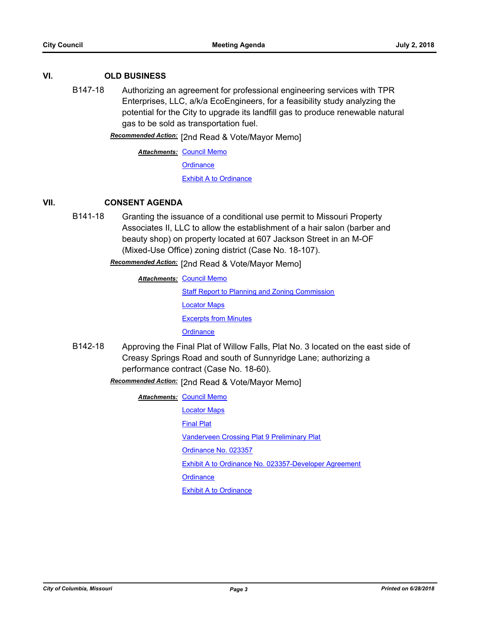### **VI. OLD BUSINESS**

B147-18 Authorizing an agreement for professional engineering services with TPR Enterprises, LLC, a/k/a EcoEngineers, for a feasibility study analyzing the potential for the City to upgrade its landfill gas to produce renewable natural gas to be sold as transportation fuel.

Recommended Action: [2nd Read & Vote/Mayor Memo]

**Attachments: [Council Memo](http://gocolumbiamo.legistar.com/gateway.aspx?M=F&ID=3ee29c38-a4f7-4e29-aa28-88e2d86cae03.docx) [Ordinance](http://gocolumbiamo.legistar.com/gateway.aspx?M=F&ID=bab8c747-8116-41db-9c11-8696d2f3764d.doc)** 

[Exhibit A to Ordinance](http://gocolumbiamo.legistar.com/gateway.aspx?M=F&ID=31453690-8a81-429a-bb3b-fd6c693a5512.pdf)

## **VII. CONSENT AGENDA**

B141-18 Granting the issuance of a conditional use permit to Missouri Property Associates II, LLC to allow the establishment of a hair salon (barber and beauty shop) on property located at 607 Jackson Street in an M-OF (Mixed-Use Office) zoning district (Case No. 18-107).

## Recommended Action: [2nd Read & Vote/Mayor Memo]

**Attachments: [Council Memo](http://gocolumbiamo.legistar.com/gateway.aspx?M=F&ID=0660c5a9-62db-4757-91bf-21e7ab3b0903.docx)** [Staff Report to Planning and Zoning Commission](http://gocolumbiamo.legistar.com/gateway.aspx?M=F&ID=178bcac4-e0fb-44f0-b7cc-ecf3a6ca5a1e.docx) [Locator Maps](http://gocolumbiamo.legistar.com/gateway.aspx?M=F&ID=9ae7c54b-45ff-4d7c-afa8-adf651761374.pdf) [Excerpts from Minutes](http://gocolumbiamo.legistar.com/gateway.aspx?M=F&ID=239fa19d-152e-486a-95b8-0bbbae44f30a.docx) **[Ordinance](http://gocolumbiamo.legistar.com/gateway.aspx?M=F&ID=8abf0e8e-cd3f-40c7-b870-21510223a7c2.doc)** 

B142-18 Approving the Final Plat of Willow Falls, Plat No. 3 located on the east side of Creasy Springs Road and south of Sunnyridge Lane; authorizing a performance contract (Case No. 18-60).

## Recommended Action: [2nd Read & Vote/Mayor Memo]

**Attachments: [Council Memo](http://gocolumbiamo.legistar.com/gateway.aspx?M=F&ID=856a947e-11af-4617-ade9-e3b884711bd3.docx)** 

[Locator Maps](http://gocolumbiamo.legistar.com/gateway.aspx?M=F&ID=8c730631-5365-4107-b6df-4665437c3616.pdf)

[Final Plat](http://gocolumbiamo.legistar.com/gateway.aspx?M=F&ID=ef766187-69f9-4348-924c-bc1407286e6d.pdf)

[Vanderveen Crossing Plat 9 Preliminary Plat](http://gocolumbiamo.legistar.com/gateway.aspx?M=F&ID=ca120a8a-3941-4b54-bcb3-2c0804c5f584.pdf)

[Ordinance No. 023357](http://gocolumbiamo.legistar.com/gateway.aspx?M=F&ID=838a7dc8-1a8f-4996-8b51-fd2f4a5d0f6d.pdf)

[Exhibit A to Ordinance No. 023357-Developer Agreement](http://gocolumbiamo.legistar.com/gateway.aspx?M=F&ID=9305d148-fd54-458e-a296-54f6bb3fafb1.pdf)

**[Ordinance](http://gocolumbiamo.legistar.com/gateway.aspx?M=F&ID=f899d812-7ae3-45a8-9640-9d288c377227.doc)** 

[Exhibit A to Ordinance](http://gocolumbiamo.legistar.com/gateway.aspx?M=F&ID=e9058e38-fe7b-45d6-b202-5fc92860fbb8.pdf)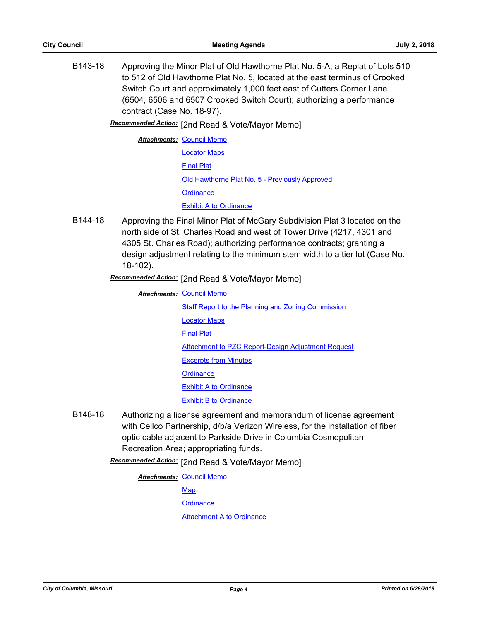B143-18 Approving the Minor Plat of Old Hawthorne Plat No. 5-A, a Replat of Lots 510 to 512 of Old Hawthorne Plat No. 5, located at the east terminus of Crooked Switch Court and approximately 1,000 feet east of Cutters Corner Lane (6504, 6506 and 6507 Crooked Switch Court); authorizing a performance contract (Case No. 18-97).

[2nd Read & Vote/Mayor Memo] *Recommended Action:*

**Attachments: [Council Memo](http://gocolumbiamo.legistar.com/gateway.aspx?M=F&ID=d6c92989-fac4-4a3c-b5e0-b3b402b7a209.docx)** [Locator Maps](http://gocolumbiamo.legistar.com/gateway.aspx?M=F&ID=b608b88a-0e5f-4076-bc08-68df7ca6f692.pdf) [Final Plat](http://gocolumbiamo.legistar.com/gateway.aspx?M=F&ID=6c2dd907-1c10-4da7-8219-973c19cb83e5.pdf) [Old Hawthorne Plat No. 5 - Previously Approved](http://gocolumbiamo.legistar.com/gateway.aspx?M=F&ID=9772226d-ecdf-45a0-994c-21a96b158f2f.pdf) **[Ordinance](http://gocolumbiamo.legistar.com/gateway.aspx?M=F&ID=9fd421a4-8333-4c5b-a73a-d3f5ecc58445.doc)** [Exhibit A to Ordinance](http://gocolumbiamo.legistar.com/gateway.aspx?M=F&ID=f59277e0-f00b-4ddd-98eb-311a41deee80.pdf)

B144-18 Approving the Final Minor Plat of McGary Subdivision Plat 3 located on the north side of St. Charles Road and west of Tower Drive (4217, 4301 and 4305 St. Charles Road); authorizing performance contracts; granting a design adjustment relating to the minimum stem width to a tier lot (Case No. 18-102).

Recommended Action: [2nd Read & Vote/Mayor Memo]

**Attachments: [Council Memo](http://gocolumbiamo.legistar.com/gateway.aspx?M=F&ID=f89ce486-b1bd-4c73-853c-180acc4e39ea.docx)** [Staff Report to the Planning and Zoning Commission](http://gocolumbiamo.legistar.com/gateway.aspx?M=F&ID=de413cc2-e1aa-4342-bea3-bcd651599d79.docx) [Locator Maps](http://gocolumbiamo.legistar.com/gateway.aspx?M=F&ID=9e9ab88e-737d-4435-b2ce-f85f83a34f63.pdf) [Final Plat](http://gocolumbiamo.legistar.com/gateway.aspx?M=F&ID=ab87e33b-d44d-4d1c-84aa-60723bd79169.pdf) [Attachment to PZC Report-Design Adjustment Request](http://gocolumbiamo.legistar.com/gateway.aspx?M=F&ID=284e2137-5b2e-4e96-ac68-1dc994a68adc.pdf) [Excerpts from Minutes](http://gocolumbiamo.legistar.com/gateway.aspx?M=F&ID=5a45d374-4818-403e-8894-d23b1b49a261.docx) **[Ordinance](http://gocolumbiamo.legistar.com/gateway.aspx?M=F&ID=9faadbf6-2169-4140-9b9a-8d1aa4de20fd.doc)** [Exhibit A to Ordinance](http://gocolumbiamo.legistar.com/gateway.aspx?M=F&ID=9c8fd1fe-abe9-405a-8765-b60585711e76.pdf) [Exhibit B to Ordinance](http://gocolumbiamo.legistar.com/gateway.aspx?M=F&ID=f60a0b6e-dca3-4b93-8f20-56790b911531.pdf)

B148-18 Authorizing a license agreement and memorandum of license agreement with Cellco Partnership, d/b/a Verizon Wireless, for the installation of fiber optic cable adjacent to Parkside Drive in Columbia Cosmopolitan Recreation Area; appropriating funds.

Recommended Action: [2nd Read & Vote/Mayor Memo]

**Attachments: [Council Memo](http://gocolumbiamo.legistar.com/gateway.aspx?M=F&ID=c8365b17-896d-4188-bdf4-5faf1559837a.docx) [Map](http://gocolumbiamo.legistar.com/gateway.aspx?M=F&ID=c49a633b-2cd1-42f6-8116-52b969910d91.pdf) [Ordinance](http://gocolumbiamo.legistar.com/gateway.aspx?M=F&ID=008b5801-72f1-4434-aa99-95b40481ffab.doc)** [Attachment A to Ordinance](http://gocolumbiamo.legistar.com/gateway.aspx?M=F&ID=f159f9f0-36b5-417e-94f9-601cddbbf816.pdf)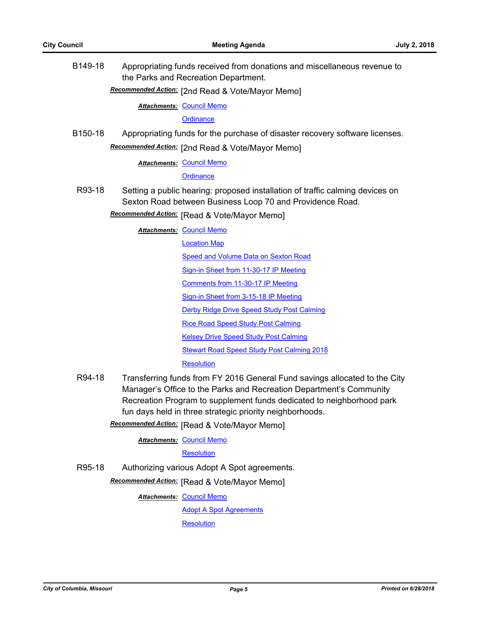B149-18 Appropriating funds received from donations and miscellaneous revenue to the Parks and Recreation Department.

[2nd Read & Vote/Mayor Memo] *Recommended Action:*

**Attachments: [Council Memo](http://gocolumbiamo.legistar.com/gateway.aspx?M=F&ID=20bd5b89-e463-4c35-ba88-abca0d904054.docx)** 

**[Ordinance](http://gocolumbiamo.legistar.com/gateway.aspx?M=F&ID=e5e0d390-bde8-448d-acc6-051e03e97fee.doc)** 

B150-18 Appropriating funds for the purchase of disaster recovery software licenses.

Recommended Action: [2nd Read & Vote/Mayor Memo]

**Attachments: [Council Memo](http://gocolumbiamo.legistar.com/gateway.aspx?M=F&ID=ea8e1abd-58f2-43fc-b5f8-69e26cafe579.docx)** 

**[Ordinance](http://gocolumbiamo.legistar.com/gateway.aspx?M=F&ID=1af04b0e-bcbd-4d19-9ba9-651a88699bfe.doc)** 

- R93-18 Setting a public hearing: proposed installation of traffic calming devices on Sexton Road between Business Loop 70 and Providence Road.
	- **Recommended Action:** [Read & Vote/Mayor Memo]

**Attachments: [Council Memo](http://gocolumbiamo.legistar.com/gateway.aspx?M=F&ID=4afd305a-7e84-4adc-8313-b52041b3a650.docx)** 

[Location Map](http://gocolumbiamo.legistar.com/gateway.aspx?M=F&ID=f6b3fd80-e566-43b7-8839-18439d3215f7.pdf)

**[Speed and Volume Data on Sexton Road](http://gocolumbiamo.legistar.com/gateway.aspx?M=F&ID=2479027c-f05b-47e4-9a09-f94d12d40118.pdf)** 

[Sign-in Sheet from 11-30-17 IP Meeting](http://gocolumbiamo.legistar.com/gateway.aspx?M=F&ID=f90c85a7-ca1b-43f4-af9e-146c35c05c6f.pdf)

[Comments from 11-30-17 IP Meeting](http://gocolumbiamo.legistar.com/gateway.aspx?M=F&ID=e7c5e0e7-84ba-48f7-b12c-568a9bb363ee.pdf)

[Sign-in Sheet from 3-15-18 IP Meeting](http://gocolumbiamo.legistar.com/gateway.aspx?M=F&ID=8e0113c9-83c7-4b03-8252-5c53c12f0c09.pdf)

[Derby Ridge Drive Speed Study Post Calming](http://gocolumbiamo.legistar.com/gateway.aspx?M=F&ID=d6aae719-394b-4b0d-9a92-f8e1c678fc6f.pdf)

[Rice Road Speed Study Post Calming](http://gocolumbiamo.legistar.com/gateway.aspx?M=F&ID=2a24394d-de8a-4ee1-9c6d-f4e55d8e94c3.pdf)

[Kelsey Drive Speed Study Post Calming](http://gocolumbiamo.legistar.com/gateway.aspx?M=F&ID=c275729c-2f7b-457e-b4ea-aa5cd4834cfd.pdf)

[Stewart Road Speed Study Post Calming 2018](http://gocolumbiamo.legistar.com/gateway.aspx?M=F&ID=6d19d446-f9da-4274-a75a-b72fb5a2d2f3.pdf)

**[Resolution](http://gocolumbiamo.legistar.com/gateway.aspx?M=F&ID=7ac34cd5-803d-4942-9c04-376665595d1f.doc)** 

R94-18 Transferring funds from FY 2016 General Fund savings allocated to the City Manager's Office to the Parks and Recreation Department's Community Recreation Program to supplement funds dedicated to neighborhood park fun days held in three strategic priority neighborhoods.

**Recommended Action:** [Read & Vote/Mayor Memo]

**Attachments: [Council Memo](http://gocolumbiamo.legistar.com/gateway.aspx?M=F&ID=0cdf7811-ef80-4220-a6bf-857f68a7e9bc.docx)** 

**[Resolution](http://gocolumbiamo.legistar.com/gateway.aspx?M=F&ID=ebedc71b-00ac-47e5-936e-c80f539c5c71.doc)** 

R95-18 Authorizing various Adopt A Spot agreements.

**Recommended Action:** [Read & Vote/Mayor Memo]

**Attachments: [Council Memo](http://gocolumbiamo.legistar.com/gateway.aspx?M=F&ID=330c02f5-924d-4067-ad8b-bb7f3bdf46f2.docx)** 

[Adopt A Spot Agreements](http://gocolumbiamo.legistar.com/gateway.aspx?M=F&ID=241283d7-e5e6-43dc-96c8-9d715dbb3405.pdf)

**[Resolution](http://gocolumbiamo.legistar.com/gateway.aspx?M=F&ID=d6c271b1-3291-42d8-99d2-5e9a340a4fa9.doc)**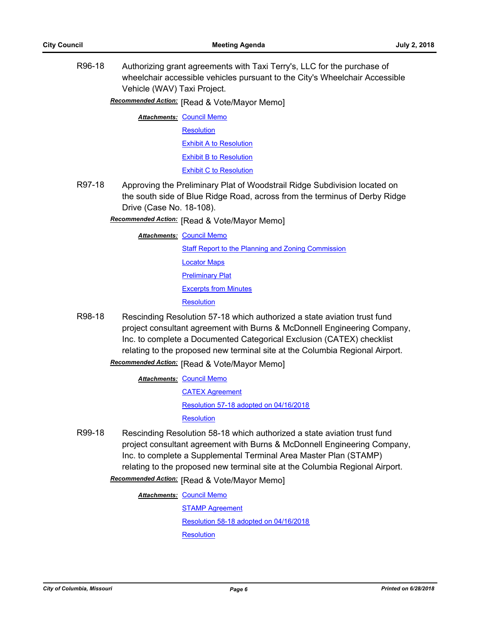R96-18 Authorizing grant agreements with Taxi Terry's, LLC for the purchase of wheelchair accessible vehicles pursuant to the City's Wheelchair Accessible Vehicle (WAV) Taxi Project.

**Recommended Action:** [Read & Vote/Mayor Memo]

**Attachments: [Council Memo](http://gocolumbiamo.legistar.com/gateway.aspx?M=F&ID=a3eaa364-8ac3-4e67-ab6e-0d2218f0ee33.docx) [Resolution](http://gocolumbiamo.legistar.com/gateway.aspx?M=F&ID=d6cfc116-8ca8-44d0-b41a-cc4f61a62c1b.doc)** [Exhibit A to Resolution](http://gocolumbiamo.legistar.com/gateway.aspx?M=F&ID=f262f942-227d-46d3-8fe7-ffd9b95ba129.pdf) [Exhibit B to Resolution](http://gocolumbiamo.legistar.com/gateway.aspx?M=F&ID=dcb06d64-fd5d-4c21-a447-f9909dfff1bb.pdf) [Exhibit C to Resolution](http://gocolumbiamo.legistar.com/gateway.aspx?M=F&ID=dbe84b2b-0da5-42de-98c5-6d23a0d9e543.pdf)

R97-18 Approving the Preliminary Plat of Woodstrail Ridge Subdivision located on the south side of Blue Ridge Road, across from the terminus of Derby Ridge Drive (Case No. 18-108).

**Recommended Action:** [Read & Vote/Mayor Memo]

**Attachments: [Council Memo](http://gocolumbiamo.legistar.com/gateway.aspx?M=F&ID=58cda73c-4787-4da6-89a4-bb68887e1a40.docx)** 

[Staff Report to the Planning and Zoning Commission](http://gocolumbiamo.legistar.com/gateway.aspx?M=F&ID=a0238636-1e4b-4202-8bc6-e7f9735ff6c9.docx)

[Locator Maps](http://gocolumbiamo.legistar.com/gateway.aspx?M=F&ID=6c821559-562c-40b1-9544-13386df3db4a.pdf)

[Preliminary Plat](http://gocolumbiamo.legistar.com/gateway.aspx?M=F&ID=e02e087d-305f-4aa2-a768-65c23270caa6.pdf)

[Excerpts from Minutes](http://gocolumbiamo.legistar.com/gateway.aspx?M=F&ID=b0ad6db3-1c15-4149-ad0c-4760cd8db1b6.docx)

**[Resolution](http://gocolumbiamo.legistar.com/gateway.aspx?M=F&ID=aa0b0a10-219e-4c43-a360-3cd160b6aa94.doc)** 

R98-18 Rescinding Resolution 57-18 which authorized a state aviation trust fund project consultant agreement with Burns & McDonnell Engineering Company, Inc. to complete a Documented Categorical Exclusion (CATEX) checklist relating to the proposed new terminal site at the Columbia Regional Airport.

**Recommended Action:** [Read & Vote/Mayor Memo]

- **Attachments: [Council Memo](http://gocolumbiamo.legistar.com/gateway.aspx?M=F&ID=7548ac24-34ca-4874-baa3-7246ef913cda.docx)** [CATEX Agreement](http://gocolumbiamo.legistar.com/gateway.aspx?M=F&ID=d700c4f7-b3ac-41b2-a870-f58485b75ed8.pdf) [Resolution 57-18 adopted on 04/16/2018](http://gocolumbiamo.legistar.com/gateway.aspx?M=F&ID=a701b990-b658-4e35-ac1e-566a7e134c4d.pdf) **[Resolution](http://gocolumbiamo.legistar.com/gateway.aspx?M=F&ID=91900f0c-6fa3-4725-932a-ff357b459eb0.doc)**
- R99-18 Rescinding Resolution 58-18 which authorized a state aviation trust fund project consultant agreement with Burns & McDonnell Engineering Company, Inc. to complete a Supplemental Terminal Area Master Plan (STAMP) relating to the proposed new terminal site at the Columbia Regional Airport.

**Recommended Action:** [Read & Vote/Mayor Memo]

**Attachments: [Council Memo](http://gocolumbiamo.legistar.com/gateway.aspx?M=F&ID=5ab013a2-3ab0-4087-a7b5-8f616be1c5ba.docx)** 

[STAMP Agreement](http://gocolumbiamo.legistar.com/gateway.aspx?M=F&ID=8b883079-5cac-4130-8d40-a9ddb1b689ce.pdf) [Resolution 58-18 adopted on 04/16/2018](http://gocolumbiamo.legistar.com/gateway.aspx?M=F&ID=5dc157b6-a383-4ec0-b207-8a57ff7dc9cc.pdf) **[Resolution](http://gocolumbiamo.legistar.com/gateway.aspx?M=F&ID=b79004ea-28f7-4d3b-bc70-bace7c51dfb4.doc)**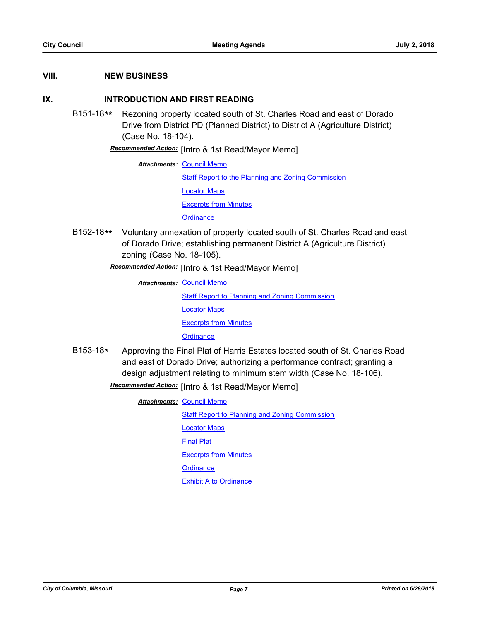### **VIII. NEW BUSINESS**

## **IX. INTRODUCTION AND FIRST READING**

B151-18**\*\*** Rezoning property located south of St. Charles Road and east of Dorado Drive from District PD (Planned District) to District A (Agriculture District) (Case No. 18-104).

Recommended Action: [Intro & 1st Read/Mayor Memo]

**Attachments: [Council Memo](http://gocolumbiamo.legistar.com/gateway.aspx?M=F&ID=c5d90af6-6852-4b44-b899-1d21f07b8357.docx)** 

[Staff Report to the Planning and Zoning Commission](http://gocolumbiamo.legistar.com/gateway.aspx?M=F&ID=14f733b2-72b8-4042-bfde-99ccc4af4842.docx) [Locator Maps](http://gocolumbiamo.legistar.com/gateway.aspx?M=F&ID=4957639a-10cb-4572-88fd-1338db3ec134.pdf)

[Excerpts from Minutes](http://gocolumbiamo.legistar.com/gateway.aspx?M=F&ID=7a9f7ee7-079c-42be-a71b-539b24762e00.docx)

**[Ordinance](http://gocolumbiamo.legistar.com/gateway.aspx?M=F&ID=e5580036-9db5-431e-9a65-15cdd28f489c.doc)** 

B152-18**\*\*** Voluntary annexation of property located south of St. Charles Road and east of Dorado Drive; establishing permanent District A (Agriculture District) zoning (Case No. 18-105).

**Recommended Action:** [Intro & 1st Read/Mayor Memo]

- **Attachments: [Council Memo](http://gocolumbiamo.legistar.com/gateway.aspx?M=F&ID=1f7373a4-b00f-4ba7-a764-36e9195a4a11.docx)** [Staff Report to Planning and Zoning Commission](http://gocolumbiamo.legistar.com/gateway.aspx?M=F&ID=7b714768-844b-4c0b-9012-b7eaa535a9c4.docx) [Locator Maps](http://gocolumbiamo.legistar.com/gateway.aspx?M=F&ID=04ea5963-cf4a-49d4-9009-9db4a60f0205.pdf) [Excerpts from Minutes](http://gocolumbiamo.legistar.com/gateway.aspx?M=F&ID=b65e661d-ab45-48ec-92ec-83fab01671ca.docx) **[Ordinance](http://gocolumbiamo.legistar.com/gateway.aspx?M=F&ID=1d61884a-e699-4e14-9e29-bd866f25631c.doc)**
- B153-18**\*** Approving the Final Plat of Harris Estates located south of St. Charles Road and east of Dorado Drive; authorizing a performance contract; granting a design adjustment relating to minimum stem width (Case No. 18-106).

Recommended Action: [Intro & 1st Read/Mayor Memo]

**Attachments: [Council Memo](http://gocolumbiamo.legistar.com/gateway.aspx?M=F&ID=aa5891bb-63b8-40da-af82-108105c20420.docx)** [Staff Report to Planning and Zoning Commission](http://gocolumbiamo.legistar.com/gateway.aspx?M=F&ID=66267336-d744-43f8-bb04-836bbb0903d6.docx) [Locator Maps](http://gocolumbiamo.legistar.com/gateway.aspx?M=F&ID=8ccda0eb-20ff-46f5-8e34-650871fef385.pdf) [Final Plat](http://gocolumbiamo.legistar.com/gateway.aspx?M=F&ID=f5abadd1-d18e-450f-b808-e9fd67fd9403.pdf) [Excerpts from Minutes](http://gocolumbiamo.legistar.com/gateway.aspx?M=F&ID=36dc7e9a-fc27-49f4-b524-4afb4e8fd49a.docx) **[Ordinance](http://gocolumbiamo.legistar.com/gateway.aspx?M=F&ID=06add6f7-ccb9-4537-a8e6-0e3308937a43.doc)** [Exhibit A to Ordinance](http://gocolumbiamo.legistar.com/gateway.aspx?M=F&ID=59ddc1ce-8dff-421d-8967-109f77681881.pdf)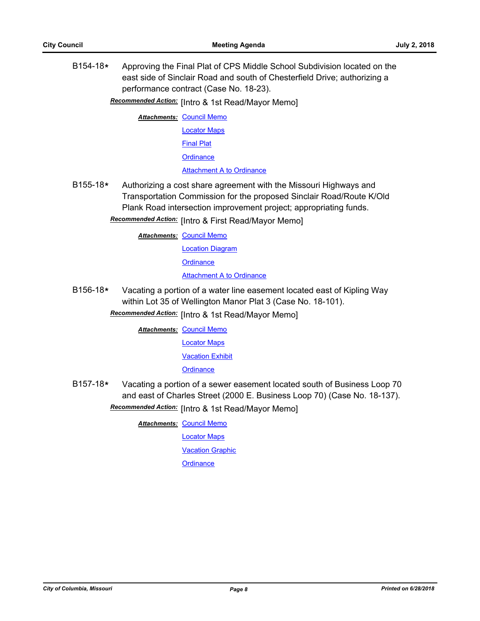B154-18**\*** Approving the Final Plat of CPS Middle School Subdivision located on the east side of Sinclair Road and south of Chesterfield Drive; authorizing a performance contract (Case No. 18-23).

**Recommended Action:** [Intro & 1st Read/Mayor Memo]

**Attachments: [Council Memo](http://gocolumbiamo.legistar.com/gateway.aspx?M=F&ID=1a2c7215-2a06-41b7-86ad-a1a2fa136223.docx)** 

[Locator Maps](http://gocolumbiamo.legistar.com/gateway.aspx?M=F&ID=e71162fc-a61b-46b1-8197-1b7e932b5c3d.pdf)

[Final Plat](http://gocolumbiamo.legistar.com/gateway.aspx?M=F&ID=e05965c2-a1e8-47b1-94e3-71e6094fe010.pdf)

**[Ordinance](http://gocolumbiamo.legistar.com/gateway.aspx?M=F&ID=ef9181f5-6723-4849-b623-e1dd39543af8.doc)** 

[Attachment A to Ordinance](http://gocolumbiamo.legistar.com/gateway.aspx?M=F&ID=ac7fc40b-c2ac-446e-b29f-0421e5dc5532.pdf)

B155-18**\*** Authorizing a cost share agreement with the Missouri Highways and Transportation Commission for the proposed Sinclair Road/Route K/Old Plank Road intersection improvement project; appropriating funds.

Recommended Action: [Intro & First Read/Mayor Memo]

**Attachments: [Council Memo](http://gocolumbiamo.legistar.com/gateway.aspx?M=F&ID=b7766e49-b289-495a-b674-0d4e82241b4b.docx)** 

[Location Diagram](http://gocolumbiamo.legistar.com/gateway.aspx?M=F&ID=2a834a44-0b96-4c28-851f-b2f8adb90bd3.pdf)

**[Ordinance](http://gocolumbiamo.legistar.com/gateway.aspx?M=F&ID=66444cad-e590-4f54-a3ee-ed5959299d76.doc)** 

[Attachment A to Ordinance](http://gocolumbiamo.legistar.com/gateway.aspx?M=F&ID=62ea9361-4719-42fd-8479-0fde065b90b9.pdf)

B156-18**\*** Vacating a portion of a water line easement located east of Kipling Way within Lot 35 of Wellington Manor Plat 3 (Case No. 18-101).

**Recommended Action:** [Intro & 1st Read/Mayor Memo]

**Attachments: [Council Memo](http://gocolumbiamo.legistar.com/gateway.aspx?M=F&ID=3d3c4927-af4c-4cd2-b70a-e3c0bd47cbf2.docx)** 

[Locator Maps](http://gocolumbiamo.legistar.com/gateway.aspx?M=F&ID=e84f56bc-7d3e-4e9f-b1d1-0d814fb83dca.pdf)

[Vacation Exhibit](http://gocolumbiamo.legistar.com/gateway.aspx?M=F&ID=7960ab86-0eb5-42e0-8867-2a246feace6a.pdf)

**[Ordinance](http://gocolumbiamo.legistar.com/gateway.aspx?M=F&ID=b173514e-d401-4fde-a20e-8dbae6b282d3.doc)** 

B157-18**\*** Vacating a portion of a sewer easement located south of Business Loop 70 and east of Charles Street (2000 E. Business Loop 70) (Case No. 18-137). Recommended Action: [Intro & 1st Read/Mayor Memo]

**Attachments: [Council Memo](http://gocolumbiamo.legistar.com/gateway.aspx?M=F&ID=a133fe70-7e98-461b-a545-67d8cc5c7b0f.docx)** 

[Locator Maps](http://gocolumbiamo.legistar.com/gateway.aspx?M=F&ID=431ab1b7-5963-4627-8c28-64227528dc47.pdf)

**[Vacation Graphic](http://gocolumbiamo.legistar.com/gateway.aspx?M=F&ID=41dfc919-8606-465a-9ae4-d6775c2c9a9e.pdf)** 

**[Ordinance](http://gocolumbiamo.legistar.com/gateway.aspx?M=F&ID=b684f1db-f239-4490-b9c0-c3cce4a55dda.doc)**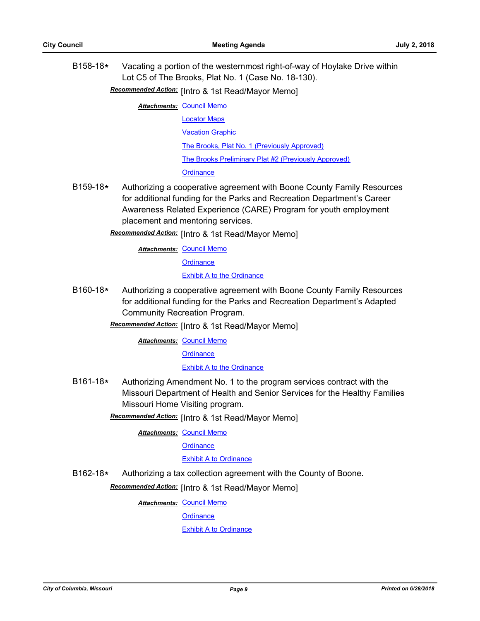- B158-18**\*** Vacating a portion of the westernmost right-of-way of Hoylake Drive within Lot C5 of The Brooks, Plat No. 1 (Case No. 18-130).
	- Recommended Action: [Intro & 1st Read/Mayor Memo]

**Attachments: [Council Memo](http://gocolumbiamo.legistar.com/gateway.aspx?M=F&ID=7ef4b53e-a0d6-4f4a-bb63-41d72902419b.docx)** 

- [Locator Maps](http://gocolumbiamo.legistar.com/gateway.aspx?M=F&ID=90bb7fa4-be72-4964-b9d5-994b270015b4.pdf)
	- [Vacation Graphic](http://gocolumbiamo.legistar.com/gateway.aspx?M=F&ID=b9eb4e22-9844-4023-aad2-18e5c751e131.pdf)

[The Brooks, Plat No. 1 \(Previously Approved\)](http://gocolumbiamo.legistar.com/gateway.aspx?M=F&ID=a093dbfb-b5dc-4f2a-a5a1-26bc2359cc98.pdf)

[The Brooks Preliminary Plat #2 \(Previously Approved\)](http://gocolumbiamo.legistar.com/gateway.aspx?M=F&ID=93b075aa-8f05-4afe-beeb-a769619d87b1.pdf)

#### **[Ordinance](http://gocolumbiamo.legistar.com/gateway.aspx?M=F&ID=496871e8-6aa3-4b81-9105-99861dcaafd7.doc)**

- B159-18**\*** Authorizing a cooperative agreement with Boone County Family Resources for additional funding for the Parks and Recreation Department's Career Awareness Related Experience (CARE) Program for youth employment placement and mentoring services.
	- **Recommended Action:** [Intro & 1st Read/Mayor Memo]

**Attachments: [Council Memo](http://gocolumbiamo.legistar.com/gateway.aspx?M=F&ID=f65423f4-a7b6-4dc0-977f-da2c831dc3a6.docx)** 

**[Ordinance](http://gocolumbiamo.legistar.com/gateway.aspx?M=F&ID=61c2e072-8104-4e06-b3b7-8990456ef24f.doc)** 

[Exhibit A to the Ordinance](http://gocolumbiamo.legistar.com/gateway.aspx?M=F&ID=69ffc03b-2c64-4647-a219-c97a3ce3b092.pdf)

B160-18**\*** Authorizing a cooperative agreement with Boone County Family Resources for additional funding for the Parks and Recreation Department's Adapted Community Recreation Program.

**Recommended Action:** [Intro & 1st Read/Mayor Memo]

**Attachments: [Council Memo](http://gocolumbiamo.legistar.com/gateway.aspx?M=F&ID=18a5f96d-1774-45be-8cf8-7e722e6c6b49.docx)** 

**[Ordinance](http://gocolumbiamo.legistar.com/gateway.aspx?M=F&ID=6c979971-dde8-42bc-9f03-c74400cbe7df.doc)** 

[Exhibit A to the Ordinance](http://gocolumbiamo.legistar.com/gateway.aspx?M=F&ID=b5b4af1e-416e-42cc-bc53-1f7e0656837c.pdf)

B161-18**\*** Authorizing Amendment No. 1 to the program services contract with the Missouri Department of Health and Senior Services for the Healthy Families Missouri Home Visiting program.

Recommended Action: [Intro & 1st Read/Mayor Memo]

**Attachments: [Council Memo](http://gocolumbiamo.legistar.com/gateway.aspx?M=F&ID=f442f37d-f445-4267-a216-15c987b43e1d.docx)** 

**[Ordinance](http://gocolumbiamo.legistar.com/gateway.aspx?M=F&ID=5e805378-0f2b-466e-b451-bc5afab9790a.doc)** 

#### [Exhibit A to Ordinance](http://gocolumbiamo.legistar.com/gateway.aspx?M=F&ID=fff0e800-16b7-4326-9a37-56294d31dfd8.pdf)

B162-18**\*** Authorizing a tax collection agreement with the County of Boone.

**Recommended Action:** [Intro & 1st Read/Mayor Memo]

**Attachments: [Council Memo](http://gocolumbiamo.legistar.com/gateway.aspx?M=F&ID=bb938982-6ad1-45b3-96ee-6d28841152ec.docx)** 

**[Ordinance](http://gocolumbiamo.legistar.com/gateway.aspx?M=F&ID=1d32aa99-9668-4d3e-bad7-857a21760ac5.doc)** 

[Exhibit A to Ordinance](http://gocolumbiamo.legistar.com/gateway.aspx?M=F&ID=78a51d16-88e8-4685-b98d-dac2c1898dc6.pdf)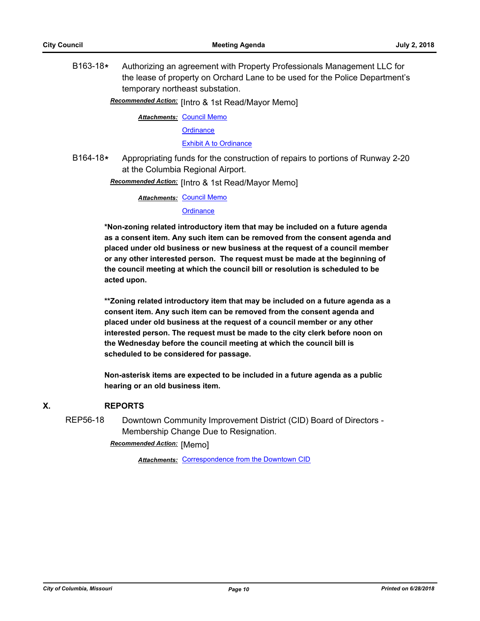B163-18**\*** Authorizing an agreement with Property Professionals Management LLC for the lease of property on Orchard Lane to be used for the Police Department's temporary northeast substation.

Recommended Action: [Intro & 1st Read/Mayor Memo]

**Attachments: [Council Memo](http://gocolumbiamo.legistar.com/gateway.aspx?M=F&ID=5d5ec85c-bfaa-4dcf-a0f6-c32355d0d5a6.docx)** 

**[Ordinance](http://gocolumbiamo.legistar.com/gateway.aspx?M=F&ID=ca114306-bc15-4a0f-ae55-ad1dcf63965f.doc)** 

[Exhibit A to Ordinance](http://gocolumbiamo.legistar.com/gateway.aspx?M=F&ID=4be2d4a7-2034-4a26-ba5d-c427540ae942.pdf)

B164-18**\*** Appropriating funds for the construction of repairs to portions of Runway 2-20 at the Columbia Regional Airport.

**Recommended Action:** [Intro & 1st Read/Mayor Memo]

**Attachments: [Council Memo](http://gocolumbiamo.legistar.com/gateway.aspx?M=F&ID=99162b9f-ce3e-4ea0-ada1-2488344fef41.docx)** 

#### **[Ordinance](http://gocolumbiamo.legistar.com/gateway.aspx?M=F&ID=105cff42-c2f9-4568-b09e-3b20cc0316ba.doc)**

**\*Non-zoning related introductory item that may be included on a future agenda as a consent item. Any such item can be removed from the consent agenda and placed under old business or new business at the request of a council member or any other interested person. The request must be made at the beginning of the council meeting at which the council bill or resolution is scheduled to be acted upon.** 

**\*\*Zoning related introductory item that may be included on a future agenda as a consent item. Any such item can be removed from the consent agenda and placed under old business at the request of a council member or any other interested person. The request must be made to the city clerk before noon on the Wednesday before the council meeting at which the council bill is scheduled to be considered for passage.**

**Non-asterisk items are expected to be included in a future agenda as a public hearing or an old business item.**

## **X. REPORTS**

REP56-18 Downtown Community Improvement District (CID) Board of Directors - Membership Change Due to Resignation.

**Recommended Action:** [Memo]

**Attachments: [Correspondence from the Downtown CID](http://gocolumbiamo.legistar.com/gateway.aspx?M=F&ID=921f6ffc-babf-4e3c-b2d4-8021ea3664cf.pdf)**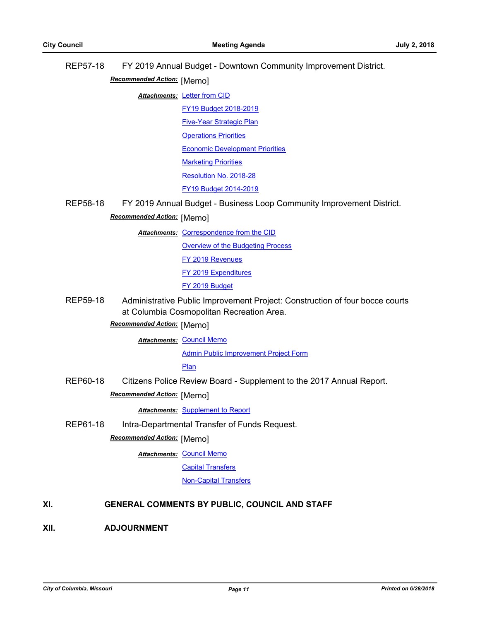|      | <b>REP57-18</b>                               | FY 2019 Annual Budget - Downtown Community Improvement District. |                                                                              |  |
|------|-----------------------------------------------|------------------------------------------------------------------|------------------------------------------------------------------------------|--|
|      | Recommended Action: [Memo]                    |                                                                  |                                                                              |  |
|      |                                               |                                                                  | Attachments: Letter from CID                                                 |  |
|      |                                               |                                                                  | FY19 Budget 2018-2019                                                        |  |
|      |                                               |                                                                  | <b>Five-Year Strategic Plan</b>                                              |  |
|      |                                               |                                                                  | <b>Operations Priorities</b>                                                 |  |
|      |                                               |                                                                  | <b>Economic Development Priorities</b>                                       |  |
|      |                                               |                                                                  | <b>Marketing Priorities</b>                                                  |  |
|      |                                               |                                                                  | Resolution No. 2018-28                                                       |  |
|      |                                               |                                                                  | FY19 Budget 2014-2019                                                        |  |
|      | <b>REP58-18</b>                               |                                                                  | FY 2019 Annual Budget - Business Loop Community Improvement District.        |  |
|      |                                               | Recommended Action: [Memo]                                       |                                                                              |  |
|      |                                               |                                                                  | <b>Attachments: Correspondence from the CID</b>                              |  |
|      |                                               |                                                                  | <b>Overview of the Budgeting Process</b>                                     |  |
|      |                                               |                                                                  | <b>FY 2019 Revenues</b>                                                      |  |
|      |                                               |                                                                  | <b>FY 2019 Expenditures</b>                                                  |  |
|      |                                               |                                                                  | FY 2019 Budget                                                               |  |
|      | <b>REP59-18</b>                               |                                                                  | Administrative Public Improvement Project: Construction of four bocce courts |  |
|      |                                               | Recommended Action: [Memo]                                       | at Columbia Cosmopolitan Recreation Area.                                    |  |
|      |                                               |                                                                  |                                                                              |  |
|      |                                               |                                                                  | <b>Attachments: Council Memo</b>                                             |  |
|      |                                               |                                                                  | <b>Admin Public Improvement Project Form</b>                                 |  |
|      |                                               |                                                                  | Plan                                                                         |  |
|      | <b>REP60-18</b>                               |                                                                  | Citizens Police Review Board - Supplement to the 2017 Annual Report.         |  |
|      |                                               | Recommended Action: [Memo]                                       |                                                                              |  |
|      |                                               |                                                                  | <b>Attachments: Supplement to Report</b>                                     |  |
|      | <b>REP61-18</b>                               |                                                                  | Intra-Departmental Transfer of Funds Request.                                |  |
|      |                                               | Recommended Action: [Memo]                                       |                                                                              |  |
|      |                                               |                                                                  | <b>Attachments: Council Memo</b>                                             |  |
|      |                                               |                                                                  | <b>Capital Transfers</b>                                                     |  |
|      |                                               |                                                                  | <b>Non-Capital Transfers</b>                                                 |  |
| XI.  | GENERAL COMMENTS BY PUBLIC, COUNCIL AND STAFF |                                                                  |                                                                              |  |
|      |                                               |                                                                  |                                                                              |  |
| XII. |                                               | <b>ADJOURNMENT</b>                                               |                                                                              |  |